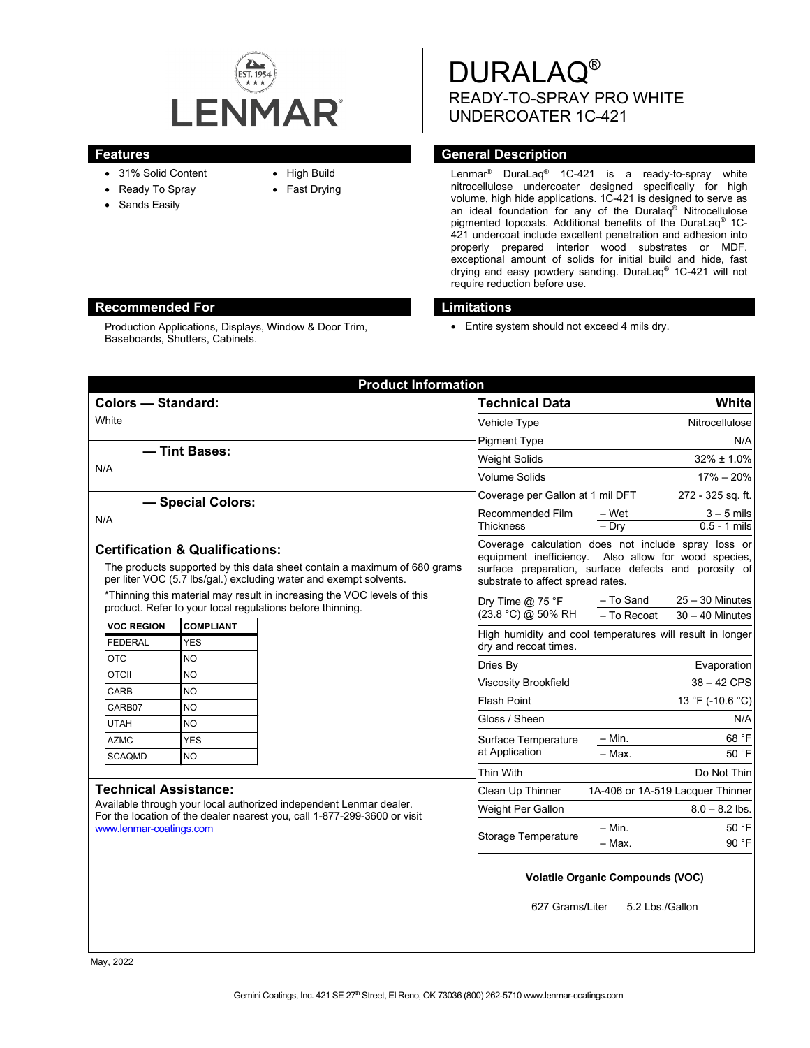

Production Applications, Displays, Window & Door Trim,

- 31% Solid Content
- Ready To Spray

Baseboards, Shutters, Cabinets.

- Sands Easily
- High Build
- Fast Drying

DURALAQ® READY-TO-SPRAY PRO WHITE UNDERCOATER 1C-421

## **Features Features General Description**

Lenmar® DuraLaq® 1C-421 is a ready-to-spray white nitrocellulose undercoater designed specifically for high volume, high hide applications. 1C-421 is designed to serve as an ideal foundation for any of the Duralaq® Nitrocellulose pigmented topcoats. Additional benefits of the DuraLaq® 1C-421 undercoat include excellent penetration and adhesion into properly prepared interior wood substrates or MDF, exceptional amount of solids for initial build and hide, fast drying and easy powdery sanding. DuraLaq® 1C-421 will not require reduction before use.

### **Recommended For Limitations**

• Entire system should not exceed 4 mils dry.

| <b>Product Information</b>                                                                                                                                                                                |  |                                                                                                                                                                                                          |                                  |                                        |
|-----------------------------------------------------------------------------------------------------------------------------------------------------------------------------------------------------------|--|----------------------------------------------------------------------------------------------------------------------------------------------------------------------------------------------------------|----------------------------------|----------------------------------------|
| <b>Colors - Standard:</b>                                                                                                                                                                                 |  | <b>Technical Data</b>                                                                                                                                                                                    | White                            |                                        |
| White                                                                                                                                                                                                     |  | Vehicle Type                                                                                                                                                                                             | Nitrocellulose                   |                                        |
|                                                                                                                                                                                                           |  | <b>Pigment Type</b>                                                                                                                                                                                      | N/A                              |                                        |
| - Tint Bases:<br>N/A                                                                                                                                                                                      |  | <b>Weight Solids</b>                                                                                                                                                                                     | $32\% \pm 1.0\%$                 |                                        |
|                                                                                                                                                                                                           |  | Volume Solids                                                                                                                                                                                            | $17\% - 20\%$                    |                                        |
| - Special Colors:                                                                                                                                                                                         |  | Coverage per Gallon at 1 mil DFT<br>272 - 325 sq. ft.                                                                                                                                                    |                                  |                                        |
| N/A                                                                                                                                                                                                       |  | Recommended Film<br>Thickness                                                                                                                                                                            | – Wet<br>$-Dry$                  | $3 - 5$ mils<br>$0.5 - 1$ mils         |
| <b>Certification &amp; Qualifications:</b><br>The products supported by this data sheet contain a maximum of 680 grams<br>per liter VOC (5.7 lbs/gal.) excluding water and exempt solvents.               |  | Coverage calculation does not include spray loss or<br>equipment inefficiency. Also allow for wood species,<br>surface preparation, surface defects and porosity of<br>substrate to affect spread rates. |                                  |                                        |
| *Thinning this material may result in increasing the VOC levels of this<br>product. Refer to your local regulations before thinning.                                                                      |  | Dry Time $@$ 75 °F<br>(23.8 °C) @ 50% RH                                                                                                                                                                 | - To Sand<br>- To Recoat         | $25 - 30$ Minutes<br>$30 - 40$ Minutes |
| <b>VOC REGION</b><br><b>COMPLIANT</b><br><b>YES</b><br><b>FEDERAL</b>                                                                                                                                     |  | High humidity and cool temperatures will result in longer<br>dry and recoat times.                                                                                                                       |                                  |                                        |
| <b>OTC</b><br><b>NO</b>                                                                                                                                                                                   |  | Dries By                                                                                                                                                                                                 |                                  | Evaporation                            |
| <b>NO</b><br><b>OTCII</b>                                                                                                                                                                                 |  | Viscosity Brookfield                                                                                                                                                                                     |                                  | $38 - 42$ CPS                          |
| CARB<br><b>NO</b>                                                                                                                                                                                         |  | <b>Flash Point</b>                                                                                                                                                                                       |                                  | 13 °F (-10.6 °C)                       |
| CARB07<br><b>NO</b><br><b>NO</b>                                                                                                                                                                          |  | Gloss / Sheen                                                                                                                                                                                            |                                  | N/A                                    |
| <b>UTAH</b><br><b>AZMC</b><br><b>YES</b>                                                                                                                                                                  |  | Surface Temperature<br>at Application                                                                                                                                                                    | $- Min.$                         | 68 °F                                  |
| <b>SCAQMD</b><br><b>NO</b>                                                                                                                                                                                |  |                                                                                                                                                                                                          | $-$ Max.                         | 50 °F                                  |
|                                                                                                                                                                                                           |  | Thin With                                                                                                                                                                                                |                                  | Do Not Thin                            |
| <b>Technical Assistance:</b><br>Available through your local authorized independent Lenmar dealer.<br>For the location of the dealer nearest you, call 1-877-299-3600 or visit<br>www.lenmar-coatings.com |  | Clean Up Thinner                                                                                                                                                                                         | 1A-406 or 1A-519 Lacquer Thinner |                                        |
|                                                                                                                                                                                                           |  | Weight Per Gallon                                                                                                                                                                                        |                                  | $8.0 - 8.2$ lbs.                       |
|                                                                                                                                                                                                           |  | <b>Storage Temperature</b>                                                                                                                                                                               | $-$ Min.<br>- Max.               | 50 °F<br>90 °F                         |
|                                                                                                                                                                                                           |  | <b>Volatile Organic Compounds (VOC)</b><br>627 Grams/Liter<br>5.2 Lbs./Gallon                                                                                                                            |                                  |                                        |

May, 2022